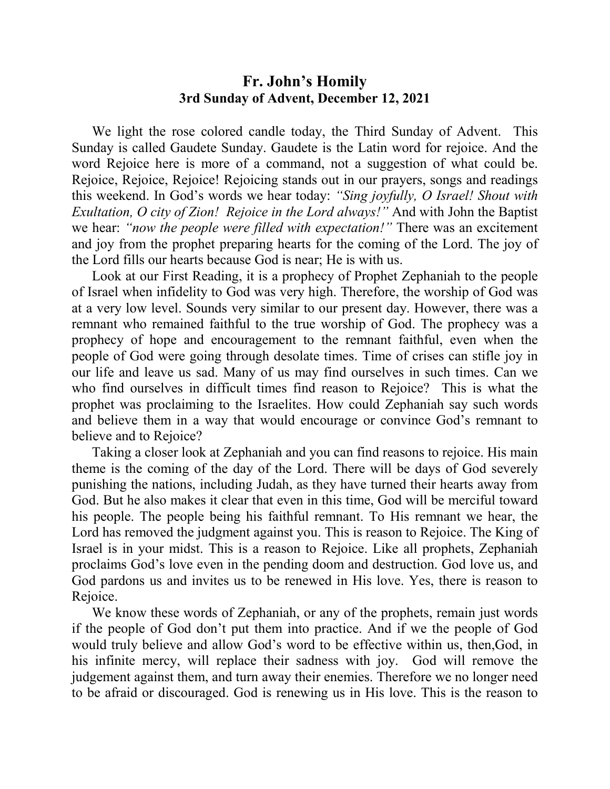## **Fr. John's Homily 3rd Sunday of Advent, December 12, 2021**

 We light the rose colored candle today, the Third Sunday of Advent. This Sunday is called Gaudete Sunday. Gaudete is the Latin word for rejoice. And the word Rejoice here is more of a command, not a suggestion of what could be. Rejoice, Rejoice, Rejoice! Rejoicing stands out in our prayers, songs and readings this weekend. In God's words we hear today: *"Sing joyfully, O Israel! Shout with Exultation, O city of Zion! Rejoice in the Lord always!"* And with John the Baptist we hear: *"now the people were filled with expectation!"* There was an excitement and joy from the prophet preparing hearts for the coming of the Lord. The joy of the Lord fills our hearts because God is near; He is with us.

 Look at our First Reading, it is a prophecy of Prophet Zephaniah to the people of Israel when infidelity to God was very high. Therefore, the worship of God was at a very low level. Sounds very similar to our present day. However, there was a remnant who remained faithful to the true worship of God. The prophecy was a prophecy of hope and encouragement to the remnant faithful, even when the people of God were going through desolate times. Time of crises can stifle joy in our life and leave us sad. Many of us may find ourselves in such times. Can we who find ourselves in difficult times find reason to Rejoice? This is what the prophet was proclaiming to the Israelites. How could Zephaniah say such words and believe them in a way that would encourage or convince God's remnant to believe and to Rejoice?

 Taking a closer look at Zephaniah and you can find reasons to rejoice. His main theme is the coming of the day of the Lord. There will be days of God severely punishing the nations, including Judah, as they have turned their hearts away from God. But he also makes it clear that even in this time, God will be merciful toward his people. The people being his faithful remnant. To His remnant we hear, the Lord has removed the judgment against you. This is reason to Rejoice. The King of Israel is in your midst. This is a reason to Rejoice. Like all prophets, Zephaniah proclaims God's love even in the pending doom and destruction. God love us, and God pardons us and invites us to be renewed in His love. Yes, there is reason to Rejoice.

We know these words of Zephaniah, or any of the prophets, remain just words if the people of God don't put them into practice. And if we the people of God would truly believe and allow God's word to be effective within us, then,God, in his infinite mercy, will replace their sadness with joy. God will remove the judgement against them, and turn away their enemies. Therefore we no longer need to be afraid or discouraged. God is renewing us in His love. This is the reason to